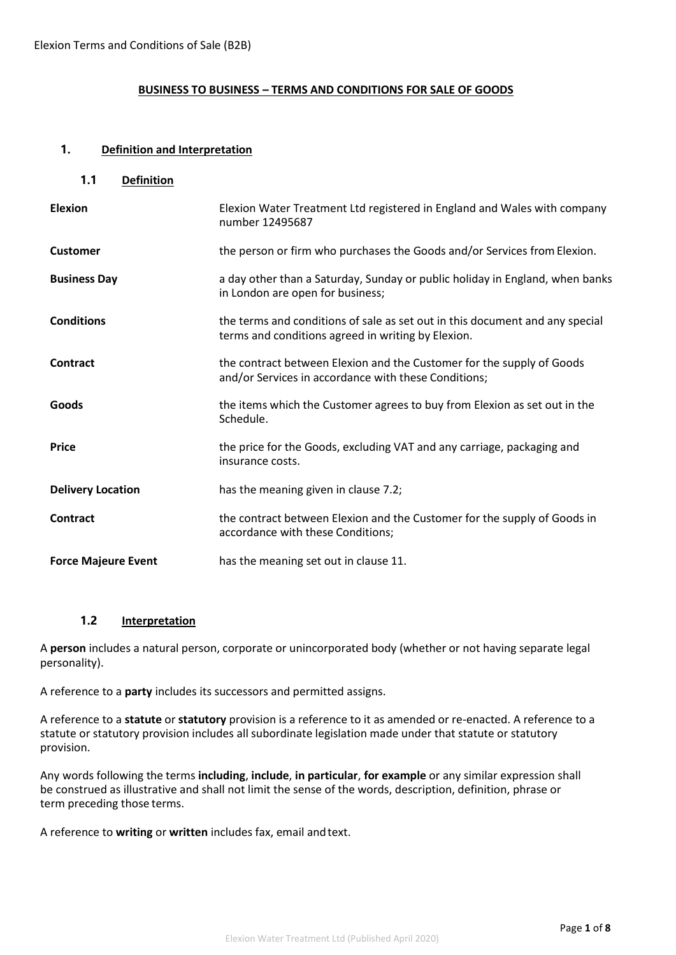# **BUSINESS TO BUSINESS – TERMS AND CONDITIONS FOR SALE OF GOODS**

## **1. Definition and Interpretation**

| 1.1<br><b>Definition</b>   |                                                                                                                                    |
|----------------------------|------------------------------------------------------------------------------------------------------------------------------------|
| <b>Elexion</b>             | Elexion Water Treatment Ltd registered in England and Wales with company<br>number 12495687                                        |
| Customer                   | the person or firm who purchases the Goods and/or Services from Elexion.                                                           |
| <b>Business Day</b>        | a day other than a Saturday, Sunday or public holiday in England, when banks<br>in London are open for business;                   |
| <b>Conditions</b>          | the terms and conditions of sale as set out in this document and any special<br>terms and conditions agreed in writing by Elexion. |
| Contract                   | the contract between Elexion and the Customer for the supply of Goods<br>and/or Services in accordance with these Conditions;      |
| Goods                      | the items which the Customer agrees to buy from Elexion as set out in the<br>Schedule.                                             |
| <b>Price</b>               | the price for the Goods, excluding VAT and any carriage, packaging and<br>insurance costs.                                         |
| <b>Delivery Location</b>   | has the meaning given in clause 7.2;                                                                                               |
| <b>Contract</b>            | the contract between Elexion and the Customer for the supply of Goods in<br>accordance with these Conditions;                      |
| <b>Force Majeure Event</b> | has the meaning set out in clause 11.                                                                                              |

# **1.2 Interpretation**

A **person** includes a natural person, corporate or unincorporated body (whether or not having separate legal personality).

A reference to a **party** includes its successors and permitted assigns.

A reference to a **statute** or **statutory** provision is a reference to it as amended or re-enacted. A reference to a statute or statutory provision includes all subordinate legislation made under that statute or statutory provision.

Any words following the terms **including**, **include**, **in particular**, **for example** or any similar expression shall be construed as illustrative and shall not limit the sense of the words, description, definition, phrase or term preceding those terms.

A reference to **writing** or **written** includes fax, email andtext.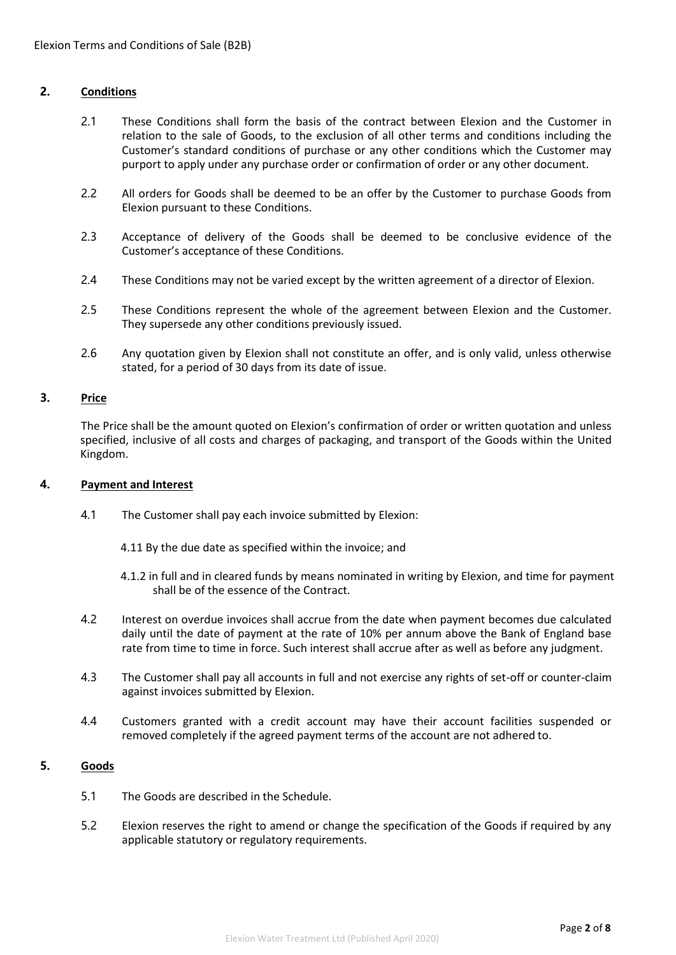## **2. Conditions**

- 2.1 These Conditions shall form the basis of the contract between Elexion and the Customer in relation to the sale of Goods, to the exclusion of all other terms and conditions including the Customer's standard conditions of purchase or any other conditions which the Customer may purport to apply under any purchase order or confirmation of order or any other document.
- 2.2 All orders for Goods shall be deemed to be an offer by the Customer to purchase Goods from Elexion pursuant to these Conditions.
- 2.3 Acceptance of delivery of the Goods shall be deemed to be conclusive evidence of the Customer's acceptance of these Conditions.
- 2.4 These Conditions may not be varied except by the written agreement of a director of Elexion.
- 2.5 These Conditions represent the whole of the agreement between Elexion and the Customer. They supersede any other conditions previously issued.
- 2.6 Any quotation given by Elexion shall not constitute an offer, and is only valid, unless otherwise stated, for a period of 30 days from its date of issue.

#### **3. Price**

The Price shall be the amount quoted on Elexion's confirmation of order or written quotation and unless specified, inclusive of all costs and charges of packaging, and transport of the Goods within the United Kingdom.

## **4. Payment and Interest**

- 4.1 The Customer shall pay each invoice submitted by Elexion:
	- 4.11 By the due date as specified within the invoice; and
	- 4.1.2 in full and in cleared funds by means nominated in writing by Elexion, and time for payment shall be of the essence of the Contract.
- 4.2 Interest on overdue invoices shall accrue from the date when payment becomes due calculated daily until the date of payment at the rate of 10% per annum above the Bank of England base rate from time to time in force. Such interest shall accrue after as well as before any judgment.
- 4.3 The Customer shall pay all accounts in full and not exercise any rights of set-off or counter-claim against invoices submitted by Elexion.
- 4.4 Customers granted with a credit account may have their account facilities suspended or removed completely if the agreed payment terms of the account are not adhered to.

## **5. Goods**

- 5.1 The Goods are described in the Schedule.
- 5.2 Elexion reserves the right to amend or change the specification of the Goods if required by any applicable statutory or regulatory requirements.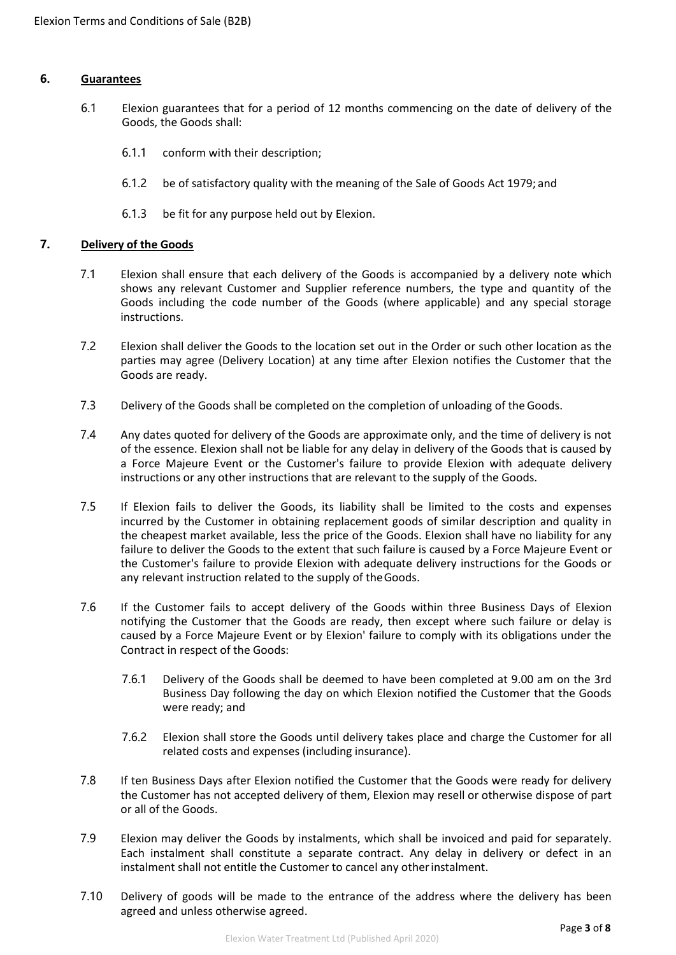#### **6. Guarantees**

- 6.1 Elexion guarantees that for a period of 12 months commencing on the date of delivery of the Goods, the Goods shall:
	- 6.1.1 conform with their description;
	- 6.1.2 be of satisfactory quality with the meaning of the Sale of Goods Act 1979; and
	- 6.1.3 be fit for any purpose held out by Elexion.

#### **7. Delivery of the Goods**

- 7.1 Elexion shall ensure that each delivery of the Goods is accompanied by a delivery note which shows any relevant Customer and Supplier reference numbers, the type and quantity of the Goods including the code number of the Goods (where applicable) and any special storage instructions.
- 7.2 Elexion shall deliver the Goods to the location set out in the Order or such other location as the parties may agree (Delivery Location) at any time after Elexion notifies the Customer that the Goods are ready.
- 7.3 Delivery of the Goods shall be completed on the completion of unloading of theGoods.
- 7.4 Any dates quoted for delivery of the Goods are approximate only, and the time of delivery is not of the essence. Elexion shall not be liable for any delay in delivery of the Goods that is caused by a Force Majeure Event or the Customer's failure to provide Elexion with adequate delivery instructions or any other instructions that are relevant to the supply of the Goods.
- 7.5 If Elexion fails to deliver the Goods, its liability shall be limited to the costs and expenses incurred by the Customer in obtaining replacement goods of similar description and quality in the cheapest market available, less the price of the Goods. Elexion shall have no liability for any failure to deliver the Goods to the extent that such failure is caused by a Force Majeure Event or the Customer's failure to provide Elexion with adequate delivery instructions for the Goods or any relevant instruction related to the supply of theGoods.
- 7.6 If the Customer fails to accept delivery of the Goods within three Business Days of Elexion notifying the Customer that the Goods are ready, then except where such failure or delay is caused by a Force Majeure Event or by Elexion' failure to comply with its obligations under the Contract in respect of the Goods:
	- 7.6.1 Delivery of the Goods shall be deemed to have been completed at 9.00 am on the 3rd Business Day following the day on which Elexion notified the Customer that the Goods were ready; and
	- 7.6.2 Elexion shall store the Goods until delivery takes place and charge the Customer for all related costs and expenses (including insurance).
- 7.8 If ten Business Days after Elexion notified the Customer that the Goods were ready for delivery the Customer has not accepted delivery of them, Elexion may resell or otherwise dispose of part or all of the Goods.
- 7.9 Elexion may deliver the Goods by instalments, which shall be invoiced and paid for separately. Each instalment shall constitute a separate contract. Any delay in delivery or defect in an instalment shall not entitle the Customer to cancel any otherinstalment.
- 7.10 Delivery of goods will be made to the entrance of the address where the delivery has been agreed and unless otherwise agreed.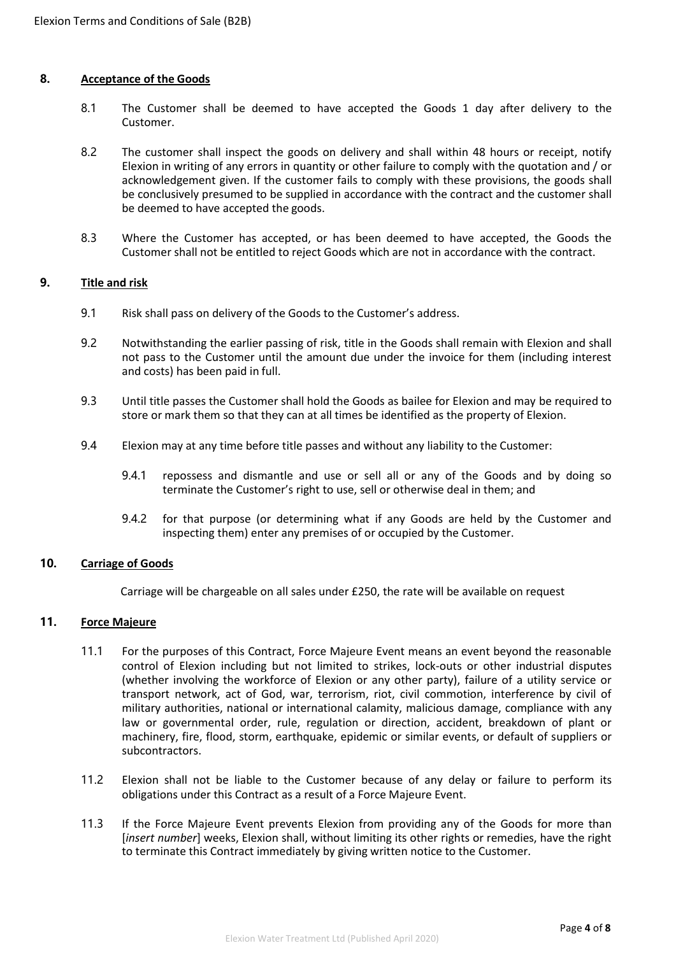## **8. Acceptance of the Goods**

- 8.1 The Customer shall be deemed to have accepted the Goods 1 day after delivery to the Customer.
- 8.2 The customer shall inspect the goods on delivery and shall within 48 hours or receipt, notify Elexion in writing of any errors in quantity or other failure to comply with the quotation and / or acknowledgement given. If the customer fails to comply with these provisions, the goods shall be conclusively presumed to be supplied in accordance with the contract and the customer shall be deemed to have accepted the goods.
- 8.3 Where the Customer has accepted, or has been deemed to have accepted, the Goods the Customer shall not be entitled to reject Goods which are not in accordance with the contract.

#### **9. Title and risk**

- 9.1 Risk shall pass on delivery of the Goods to the Customer's address.
- 9.2 Notwithstanding the earlier passing of risk, title in the Goods shall remain with Elexion and shall not pass to the Customer until the amount due under the invoice for them (including interest and costs) has been paid in full.
- 9.3 Until title passes the Customer shall hold the Goods as bailee for Elexion and may be required to store or mark them so that they can at all times be identified as the property of Elexion.
- 9.4 Elexion may at any time before title passes and without any liability to the Customer:
	- 9.4.1 repossess and dismantle and use or sell all or any of the Goods and by doing so terminate the Customer's right to use, sell or otherwise deal in them; and
	- 9.4.2 for that purpose (or determining what if any Goods are held by the Customer and inspecting them) enter any premises of or occupied by the Customer.

## **10. Carriage of Goods**

Carriage will be chargeable on all sales under £250, the rate will be available on request

# **11. Force Majeure**

- 11.1 For the purposes of this Contract, Force Majeure Event means an event beyond the reasonable control of Elexion including but not limited to strikes, lock-outs or other industrial disputes (whether involving the workforce of Elexion or any other party), failure of a utility service or transport network, act of God, war, terrorism, riot, civil commotion, interference by civil of military authorities, national or international calamity, malicious damage, compliance with any law or governmental order, rule, regulation or direction, accident, breakdown of plant or machinery, fire, flood, storm, earthquake, epidemic or similar events, or default of suppliers or subcontractors.
- 11.2 Elexion shall not be liable to the Customer because of any delay or failure to perform its obligations under this Contract as a result of a Force Majeure Event.
- 11.3 If the Force Majeure Event prevents Elexion from providing any of the Goods for more than [*insert number*] weeks, Elexion shall, without limiting its other rights or remedies, have the right to terminate this Contract immediately by giving written notice to the Customer.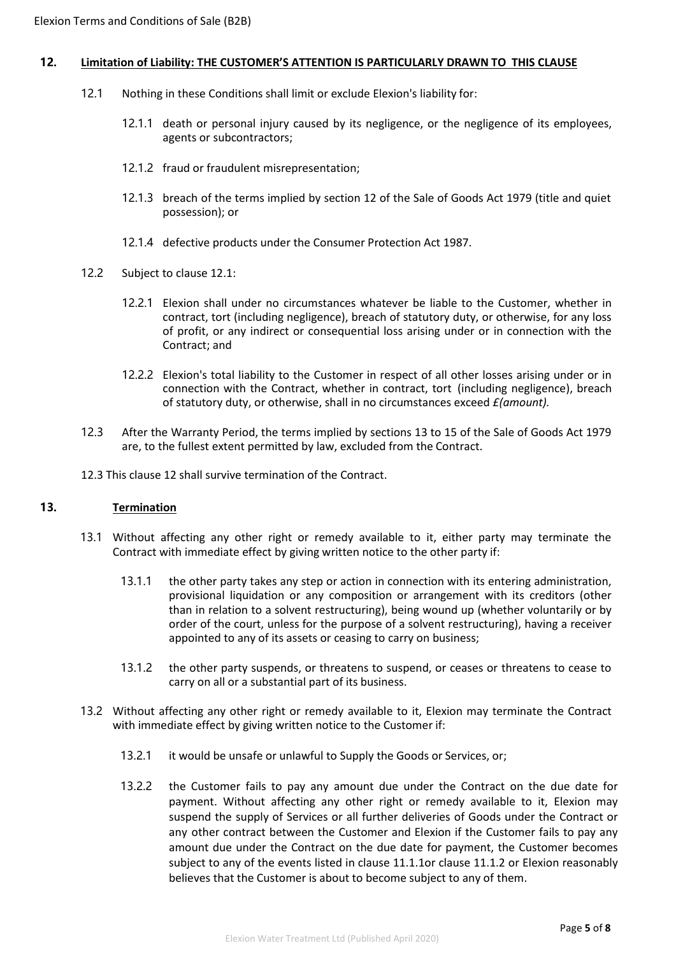#### **12. Limitation of Liability: THE CUSTOMER'S ATTENTION IS PARTICULARLY DRAWN TO THIS CLAUSE**

- 12.1 Nothing in these Conditions shall limit or exclude Elexion's liability for:
	- 12.1.1 death or personal injury caused by its negligence, or the negligence of its employees, agents or subcontractors;
	- 12.1.2 fraud or fraudulent misrepresentation;
	- 12.1.3 breach of the terms implied by section 12 of the Sale of Goods Act 1979 (title and quiet possession); or
	- 12.1.4 defective products under the Consumer Protection Act 1987.
- 12.2 Subject to clause 12.1:
	- 12.2.1 Elexion shall under no circumstances whatever be liable to the Customer, whether in contract, tort (including negligence), breach of statutory duty, or otherwise, for any loss of profit, or any indirect or consequential loss arising under or in connection with the Contract; and
	- 12.2.2 Elexion's total liability to the Customer in respect of all other losses arising under or in connection with the Contract, whether in contract, tort (including negligence), breach of statutory duty, or otherwise, shall in no circumstances exceed *£(amount).*
- 12.3 After the Warranty Period, the terms implied by sections 13 to 15 of the Sale of Goods Act 1979 are, to the fullest extent permitted by law, excluded from the Contract.
- 12.3 This clause 12 shall survive termination of the Contract.

## **13. Termination**

- 13.1 Without affecting any other right or remedy available to it, either party may terminate the Contract with immediate effect by giving written notice to the other party if:
	- 13.1.1 the other party takes any step or action in connection with its entering administration, provisional liquidation or any composition or arrangement with its creditors (other than in relation to a solvent restructuring), being wound up (whether voluntarily or by order of the court, unless for the purpose of a solvent restructuring), having a receiver appointed to any of its assets or ceasing to carry on business;
	- 13.1.2 the other party suspends, or threatens to suspend, or ceases or threatens to cease to carry on all or a substantial part of its business.
- 13.2 Without affecting any other right or remedy available to it, Elexion may terminate the Contract with immediate effect by giving written notice to the Customer if:
	- 13.2.1 it would be unsafe or unlawful to Supply the Goods or Services, or;
	- 13.2.2 the Customer fails to pay any amount due under the Contract on the due date for payment. Without affecting any other right or remedy available to it, Elexion may suspend the supply of Services or all further deliveries of Goods under the Contract or any other contract between the Customer and Elexion if the Customer fails to pay any amount due under the Contract on the due date for payment, the Customer becomes subject to any of the events listed in clause 11.1.1or clause 11.1.2 or Elexion reasonably believes that the Customer is about to become subject to any of them.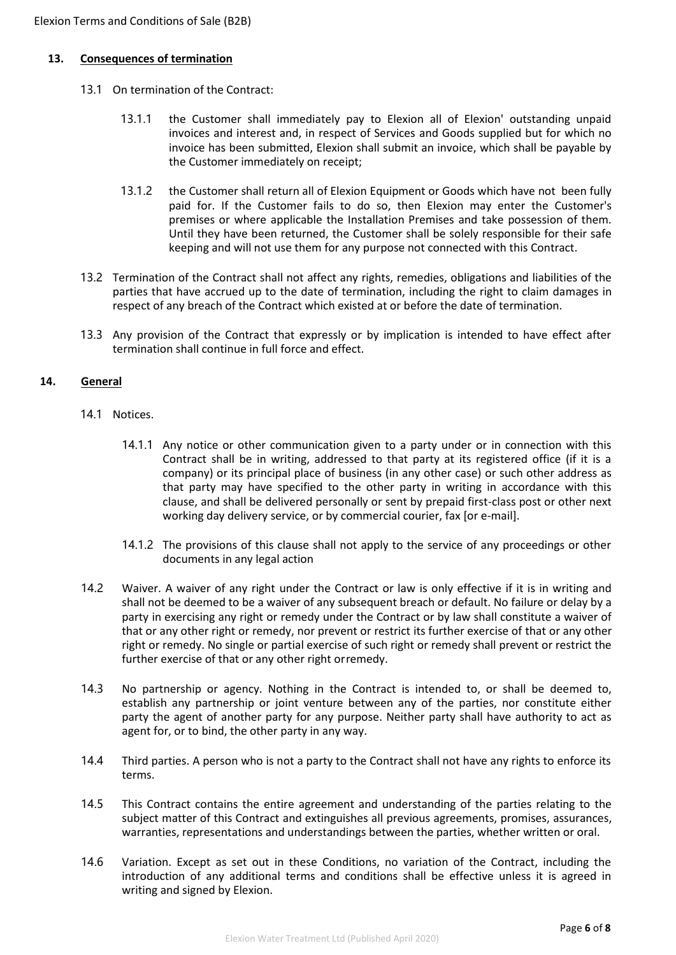## **13. Consequences of termination**

- 13.1 On termination of the Contract:
	- 13.1.1 the Customer shall immediately pay to Elexion all of Elexion' outstanding unpaid invoices and interest and, in respect of Services and Goods supplied but for which no invoice has been submitted, Elexion shall submit an invoice, which shall be payable by the Customer immediately on receipt;
	- 13.1.2 the Customer shall return all of Elexion Equipment or Goods which have not been fully paid for. If the Customer fails to do so, then Elexion may enter the Customer's premises or where applicable the Installation Premises and take possession of them. Until they have been returned, the Customer shall be solely responsible for their safe keeping and will not use them for any purpose not connected with this Contract.
- 13.2 Termination of the Contract shall not affect any rights, remedies, obligations and liabilities of the parties that have accrued up to the date of termination, including the right to claim damages in respect of any breach of the Contract which existed at or before the date of termination.
- 13.3 Any provision of the Contract that expressly or by implication is intended to have effect after termination shall continue in full force and effect.

## **14. General**

- 14.1 Notices.
	- 14.1.1 Any notice or other communication given to a party under or in connection with this Contract shall be in writing, addressed to that party at its registered office (if it is a company) or its principal place of business (in any other case) or such other address as that party may have specified to the other party in writing in accordance with this clause, and shall be delivered personally or sent by prepaid first-class post or other next working day delivery service, or by commercial courier, fax [or e-mail].
	- 14.1.2 The provisions of this clause shall not apply to the service of any proceedings or other documents in any legal action
- 14.2 Waiver. A waiver of any right under the Contract or law is only effective if it is in writing and shall not be deemed to be a waiver of any subsequent breach or default. No failure or delay by a party in exercising any right or remedy under the Contract or by law shall constitute a waiver of that or any other right or remedy, nor prevent or restrict its further exercise of that or any other right or remedy. No single or partial exercise of such right or remedy shall prevent or restrict the further exercise of that or any other right orremedy.
- 14.3 No partnership or agency. Nothing in the Contract is intended to, or shall be deemed to, establish any partnership or joint venture between any of the parties, nor constitute either party the agent of another party for any purpose. Neither party shall have authority to act as agent for, or to bind, the other party in any way.
- 14.4 Third parties. A person who is not a party to the Contract shall not have any rights to enforce its terms.
- 14.5 This Contract contains the entire agreement and understanding of the parties relating to the subject matter of this Contract and extinguishes all previous agreements, promises, assurances, warranties, representations and understandings between the parties, whether written or oral.
- 14.6 Variation. Except as set out in these Conditions, no variation of the Contract, including the introduction of any additional terms and conditions shall be effective unless it is agreed in writing and signed by Elexion.